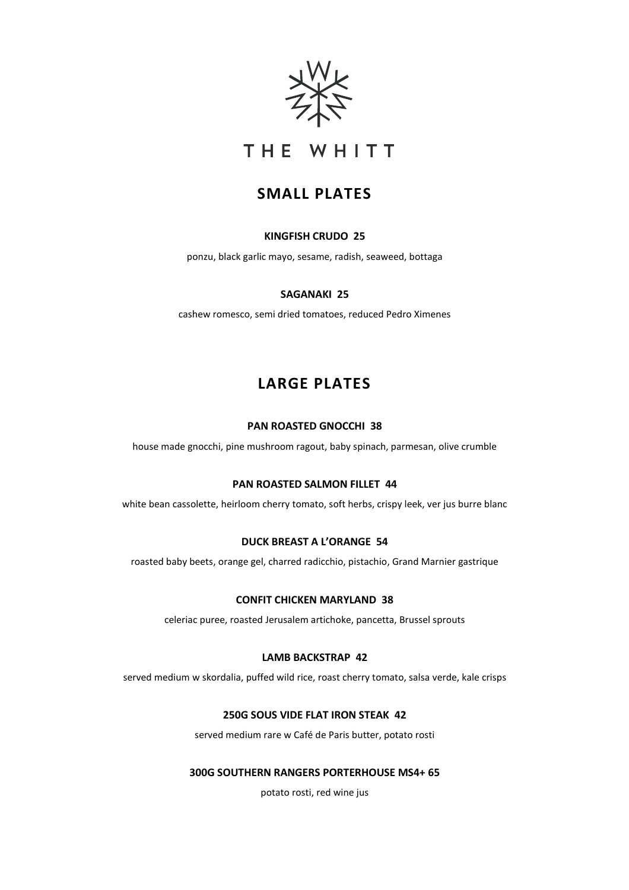

## THE WHITT

### **SMALL PLATES**

### **KINGFISH CRUDO 25**

ponzu, black garlic mayo, sesame, radish, seaweed, bottaga

#### **SAGANAKI 25**

cashew romesco, semi dried tomatoes, reduced Pedro Ximenes

### **LARGE PLATES**

#### **PAN ROASTED GNOCCHI 38**

house made gnocchi, pine mushroom ragout, baby spinach, parmesan, olive crumble

#### **PAN ROASTED SALMON FILLET 44**

white bean cassolette, heirloom cherry tomato, soft herbs, crispy leek, ver jus burre blanc

### **DUCK BREAST A L'ORANGE 54**

roasted baby beets, orange gel, charred radicchio, pistachio, Grand Marnier gastrique

#### **CONFIT CHICKEN MARYLAND 38**

celeriac puree, roasted Jerusalem artichoke, pancetta, Brussel sprouts

### **LAMB BACKSTRAP 42**

served medium w skordalia, puffed wild rice, roast cherry tomato, salsa verde, kale crisps

### **250G SOUS VIDE FLAT IRON STEAK 42**

served medium rare w Café de Paris butter, potato rosti

#### **300G SOUTHERN RANGERS PORTERHOUSE MS4+ 65**

potato rosti, red wine jus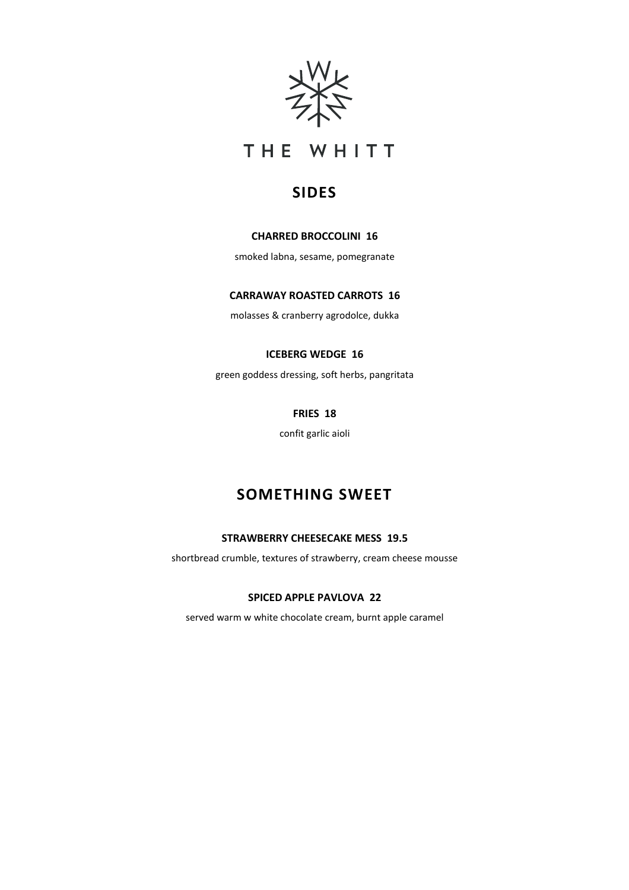



### **SIDES**

### **CHARRED BROCCOLINI 16**

smoked labna, sesame, pomegranate

### **CARRAWAY ROASTED CARROTS 16**

molasses & cranberry agrodolce, dukka

### **ICEBERG WEDGE 16**

green goddess dressing, soft herbs, pangritata

### **FRIES 18**

confit garlic aioli

### **SOMETHING SWEET**

### **STRAWBERRY CHEESECAKE MESS 19.5**

shortbread crumble, textures of strawberry, cream cheese mousse

### **SPICED APPLE PAVLOVA 22**

served warm w white chocolate cream, burnt apple caramel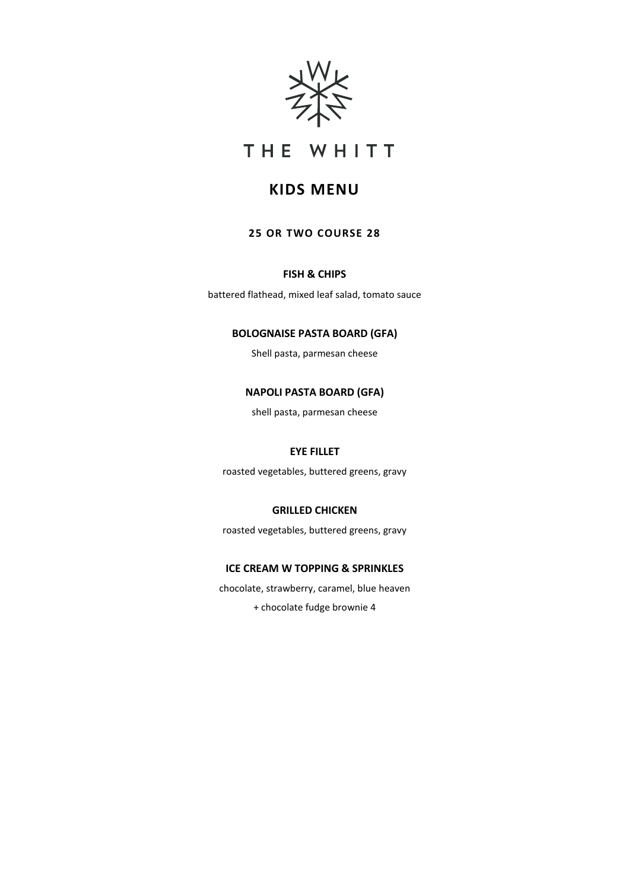



### **KIDS MENU**

### **25 OR TWO COURSE 28**

### **FISH & CHIPS**

battered flathead, mixed leaf salad, tomato sauce

### **BOLOGNAISE PASTA BOARD (GFA)**

Shell pasta, parmesan cheese

### **NAPOLI PASTA BOARD (GFA)**

shell pasta, parmesan cheese

### **EYE FILLET**

roasted vegetables, buttered greens, gravy

#### **GRILLED CHICKEN**

roasted vegetables, buttered greens, gravy

### **ICE CREAM W TOPPING & SPRINKLES**

chocolate, strawberry, caramel, blue heaven

+ chocolate fudge brownie 4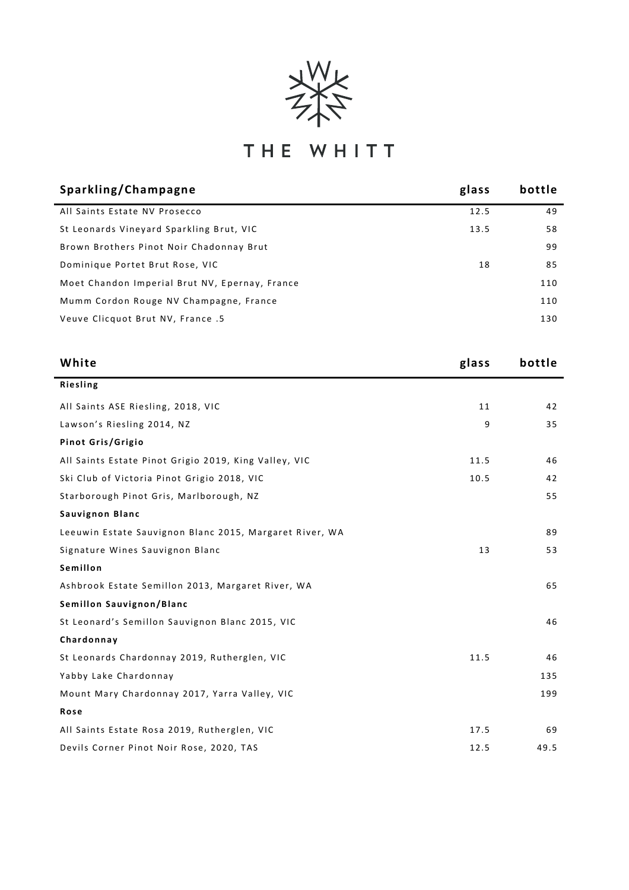

# THE WHITT

| Sparkling/Champagne                            | glass | bottle |
|------------------------------------------------|-------|--------|
| All Saints Estate NV Prosecco                  | 12.5  | 49     |
| St Leonards Vineyard Sparkling Brut, VIC       | 13.5  | 58     |
| Brown Brothers Pinot Noir Chadonnay Brut       |       | 99     |
| Dominique Portet Brut Rose, VIC                | 18    | 85     |
| Moet Chandon Imperial Brut NV, Epernay, France |       | 110    |
| Mumm Cordon Rouge NV Champagne, France         |       | 110    |
| Veuve Clicquot Brut NV, France .5              |       | 130    |
|                                                |       |        |

| White                                                   | glass | bottle |
|---------------------------------------------------------|-------|--------|
| <b>Riesling</b>                                         |       |        |
| All Saints ASE Riesling, 2018, VIC                      | 11    | 42     |
| Lawson's Riesling 2014, NZ                              | 9     | 35     |
| Pinot Gris/Grigio                                       |       |        |
| All Saints Estate Pinot Grigio 2019, King Valley, VIC   | 11.5  | 46     |
| Ski Club of Victoria Pinot Grigio 2018, VIC             | 10.5  | 42     |
| Starborough Pinot Gris, Marlborough, NZ                 |       | 55     |
| Sauvignon Blanc                                         |       |        |
| Leeuwin Estate Sauvignon Blanc 2015, Margaret River, WA |       | 89     |
| Signature Wines Sauvignon Blanc                         | 13    | 53     |
| Semillon                                                |       |        |
| Ashbrook Estate Semillon 2013, Margaret River, WA       |       | 65     |
| Semillon Sauvignon/Blanc                                |       |        |
| St Leonard's Semillon Sauvignon Blanc 2015, VIC         |       | 46     |
| Chardonnay                                              |       |        |
| St Leonards Chardonnay 2019, Rutherglen, VIC            | 11.5  | 46     |
| Yabby Lake Chardonnay                                   |       | 135    |
| Mount Mary Chardonnay 2017, Yarra Valley, VIC           |       | 199    |
| Rose                                                    |       |        |
| All Saints Estate Rosa 2019, Rutherglen, VIC            | 17.5  | 69     |
| Devils Corner Pinot Noir Rose, 2020, TAS                | 12.5  | 49.5   |